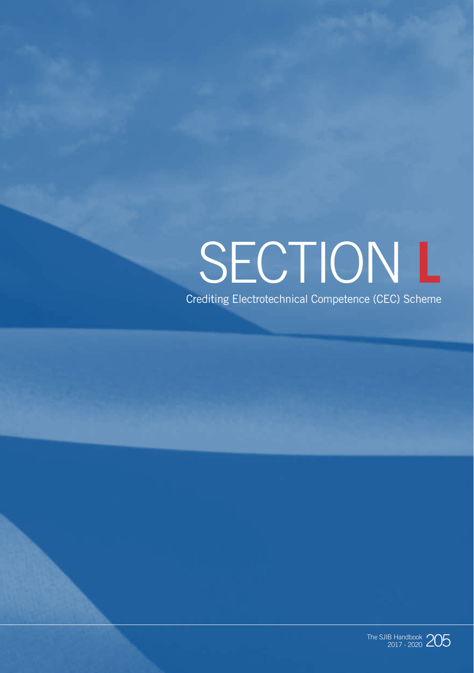# SECTION **L** Crediting Electrotechnical Competence (CEC) Scheme

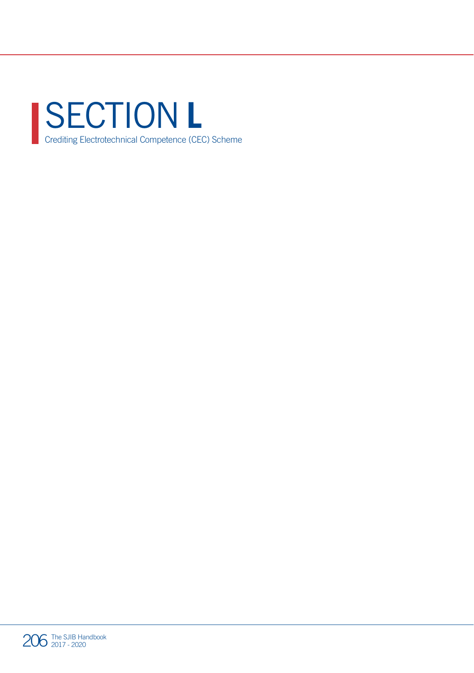

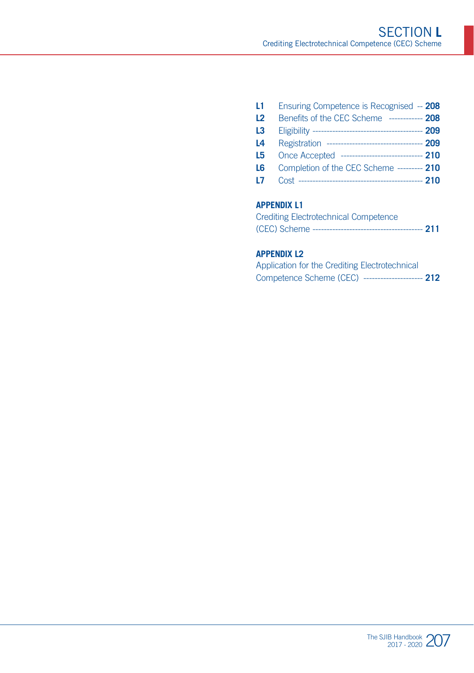| L1             | Ensuring Competence is Recognised -- 208            |  |
|----------------|-----------------------------------------------------|--|
| L <sub>2</sub> | Benefits of the CEC Scheme ------------ 208         |  |
| L3             |                                                     |  |
| L4             | Registration ---------------------------------- 209 |  |
| L5             | Once Accepted ------------------------------ 210    |  |
| L6             | Completion of the CEC Scheme --------- 210          |  |
| L7.            |                                                     |  |
|                |                                                     |  |

#### **APPENDIX L1**

| <b>Crediting Electrotechnical Competence</b>               |  |
|------------------------------------------------------------|--|
| (CEC) Scheme -------------------------------<br>------ 211 |  |

#### **APPENDIX L2**

| Application for the Crediting Electrotechnical |                            |  |
|------------------------------------------------|----------------------------|--|
| Competence Scheme (CEC)                        | ---------------------- 212 |  |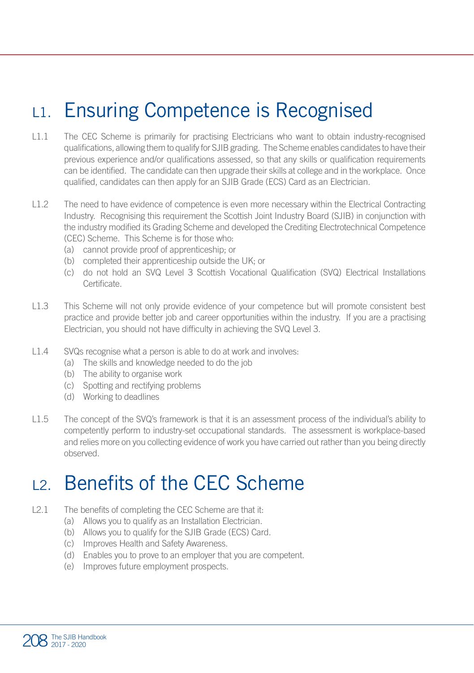# L1. Ensuring Competence is Recognised

- L1.1 The CEC Scheme is primarily for practising Electricians who want to obtain industry-recognised qualifications, allowing them to qualify for SJIB grading. The Scheme enables candidates to have their previous experience and/or qualifications assessed, so that any skills or qualification requirements can be identified. The candidate can then upgrade their skills at college and in the workplace. Once qualified, candidates can then apply for an SJIB Grade (ECS) Card as an Electrician.
- L1.2 The need to have evidence of competence is even more necessary within the Electrical Contracting Industry. Recognising this requirement the Scottish Joint Industry Board (SJIB) in conjunction with the industry modified its Grading Scheme and developed the Crediting Electrotechnical Competence (CEC) Scheme. This Scheme is for those who:
	- (a) cannot provide proof of apprenticeship; or
	- (b) completed their apprenticeship outside the UK; or
	- (c) do not hold an SVQ Level 3 Scottish Vocational Qualification (SVQ) Electrical Installations Certificate.
- L1.3 This Scheme will not only provide evidence of your competence but will promote consistent best practice and provide better job and career opportunities within the industry. If you are a practising Electrician, you should not have difficulty in achieving the SVQ Level 3.
- L1.4 SVQs recognise what a person is able to do at work and involves:
	- (a) The skills and knowledge needed to do the job
	- (b) The ability to organise work
	- (c) Spotting and rectifying problems
	- (d) Working to deadlines
- L1.5 The concept of the SVQ's framework is that it is an assessment process of the individual's ability to competently perform to industry-set occupational standards. The assessment is workplace-based and relies more on you collecting evidence of work you have carried out rather than you being directly observed.

### L2. Benefits of the CEC Scheme

- L2.1 The benefits of completing the CEC Scheme are that it:
	- (a) Allows you to qualify as an Installation Electrician.
	- (b) Allows you to qualify for the SJIB Grade (ECS) Card.
	- (c) Improves Health and Safety Awareness.
	- (d) Enables you to prove to an employer that you are competent.
	- (e) Improves future employment prospects.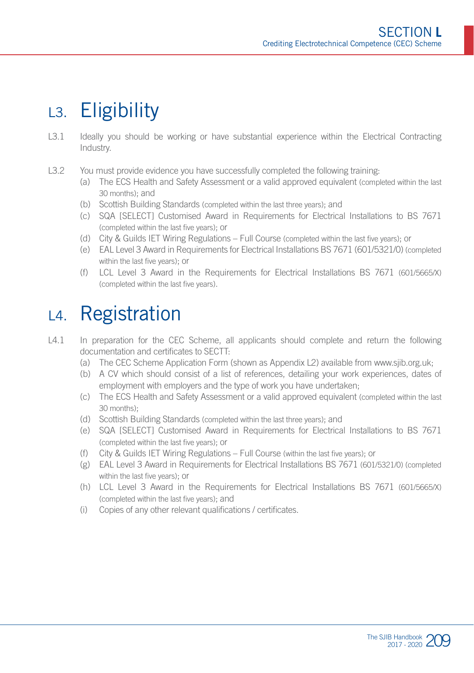# L3. Eligibility

- L3.1 Ideally you should be working or have substantial experience within the Electrical Contracting Industry.
- L3.2 You must provide evidence you have successfully completed the following training:
	- (a) The ECS Health and Safety Assessment or a valid approved equivalent (completed within the last 30 months); and
	- (b) Scottish Building Standards (completed within the last three years); and
	- (c) SQA [SELECT] Customised Award in Requirements for Electrical Installations to BS 7671 (completed within the last five years); or
	- (d) City & Guilds IET Wiring Regulations Full Course (completed within the last five years); or
	- (e) EAL Level 3 Award in Requirements for Electrical Installations BS 7671 (601/5321/0) (completed within the last five years); or
	- (f) LCL Level 3 Award in the Requirements for Electrical Installations BS 7671 (601/5665/X) (completed within the last five years).

### L4. Registration

- L4.1 In preparation for the CEC Scheme, all applicants should complete and return the following documentation and certificates to SECTT:
	- (a) The CEC Scheme Application Form (shown as Appendix L2) available from www.sjib.org.uk;
	- (b) A CV which should consist of a list of references, detailing your work experiences, dates of employment with employers and the type of work you have undertaken;
	- (c) The ECS Health and Safety Assessment or a valid approved equivalent (completed within the last 30 months);
	- (d) Scottish Building Standards (completed within the last three years); and
	- (e) SQA [SELECT] Customised Award in Requirements for Electrical Installations to BS 7671 (completed within the last five years); or
	- (f) City & Guilds IET Wiring Regulations Full Course (within the last five years); or
	- (g) EAL Level 3 Award in Requirements for Electrical Installations BS 7671 (601/5321/0) (completed within the last five years); or
	- (h) LCL Level 3 Award in the Requirements for Electrical Installations BS 7671 (601/5665/X) (completed within the last five years); and
	- (i) Copies of any other relevant qualifications / certificates.

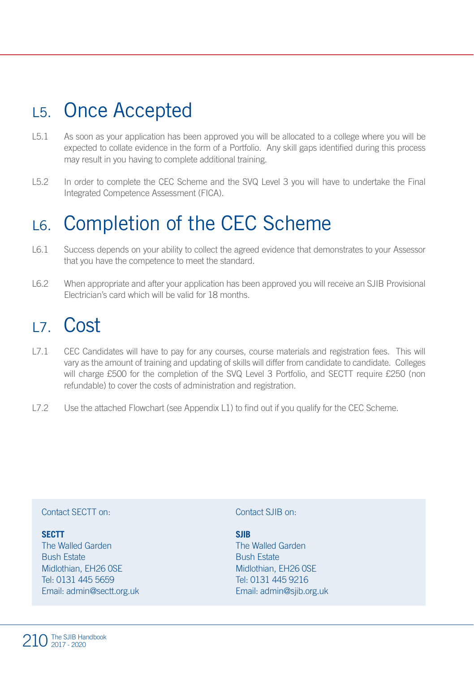# L5. Once Accepted

- L5.1 As soon as your application has been approved you will be allocated to a college where you will be expected to collate evidence in the form of a Portfolio. Any skill gaps identified during this process may result in you having to complete additional training.
- L5.2 In order to complete the CEC Scheme and the SVQ Level 3 you will have to undertake the Final Integrated Competence Assessment (FICA).

# L6. Completion of the CEC Scheme

- L6.1 Success depends on your ability to collect the agreed evidence that demonstrates to your Assessor that you have the competence to meet the standard.
- L6.2 When appropriate and after your application has been approved you will receive an SJIB Provisional Electrician's card which will be valid for 18 months.

### L7. Cost

- L7.1 CEC Candidates will have to pay for any courses, course materials and registration fees. This will vary as the amount of training and updating of skills will differ from candidate to candidate. Colleges will charge £500 for the completion of the SVQ Level 3 Portfolio, and SECTT require £250 (non refundable) to cover the costs of administration and registration.
- L7.2 Use the attached Flowchart (see Appendix L1) to find out if you qualify for the CEC Scheme.

#### Contact SECTT on:

#### **SECTT**

The Walled Garden Bush Estate Midlothian, EH26 0SE Tel: 0131 445 5659 Email: admin@sectt.org.uk

#### Contact SJIB on:

**SJIB** The Walled Garden Bush Estate Midlothian, EH26 0SE Tel: 0131 445 9216 Email: admin@sjib.org.uk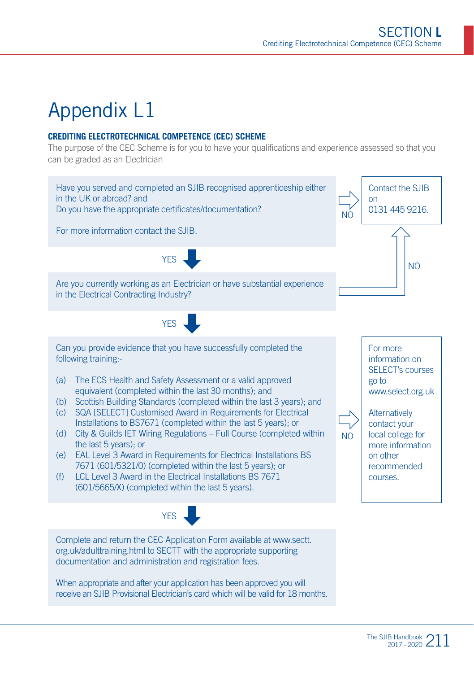# Appendix L1

#### **CREDITING ELECTROTECHNICAL COMPETENCE (CEC) SCHEME**

The purpose of the CEC Scheme is for you to have your qualifications and experience assessed so that you can be graded as an Electrician

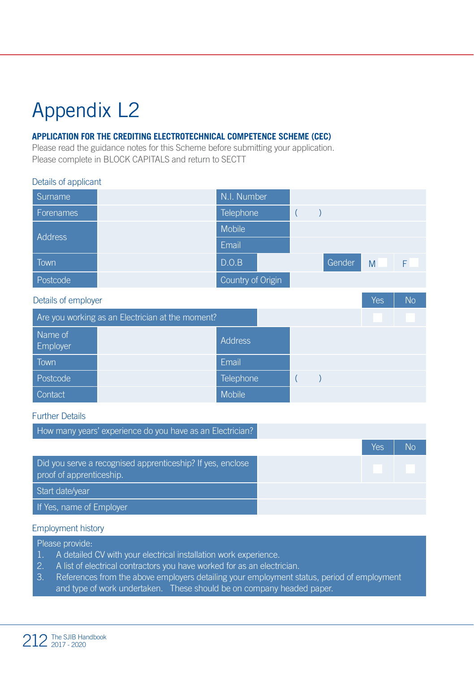# Appendix L2

Details of applicant

#### **APPLICATION FOR THE CREDITING ELECTROTECHNICAL COMPETENCE SCHEME (CEC)**

Please read the guidance notes for this Scheme before submitting your application. Please complete in BLOCK CAPITALS and return to SECTT

| Details of applicant |                                                  |                   |                  |        |            |           |
|----------------------|--------------------------------------------------|-------------------|------------------|--------|------------|-----------|
| Surname              |                                                  | N.I. Number       |                  |        |            |           |
| Forenames            |                                                  | Telephone         | $\overline{(\ }$ |        |            |           |
|                      |                                                  | <b>Mobile</b>     |                  |        |            |           |
| <b>Address</b>       |                                                  | Email             |                  |        |            |           |
| Town                 |                                                  | D.O.B             |                  | Gender | M          | F.        |
| Postcode             |                                                  | Country of Origin |                  |        |            |           |
| Details of employer  |                                                  |                   |                  |        | <b>Yes</b> | <b>No</b> |
|                      | Are you working as an Electrician at the moment? |                   |                  |        |            |           |
| Name of<br>Employer  |                                                  | <b>Address</b>    |                  |        |            |           |
| Town                 |                                                  | Email             |                  |        |            |           |
| Postcode             |                                                  | Telephone         | $\overline{(\ }$ |        |            |           |
| Contact              |                                                  | Mobile            |                  |        |            |           |

#### Further Details

| How many years' experience do you have as an Electrician?                              |     |           |
|----------------------------------------------------------------------------------------|-----|-----------|
|                                                                                        | Yes | <b>No</b> |
| Did you serve a recognised apprenticeship? If yes, enclose<br>proof of apprenticeship. |     |           |
| Start date/year                                                                        |     |           |
| If Yes, name of Employer                                                               |     |           |

#### Employment history

Please provide:

- 1. A detailed CV with your electrical installation work experience.
- 2. A list of electrical contractors you have worked for as an electrician.
- 3. References from the above employers detailing your employment status, period of employment and type of work undertaken. These should be on company headed paper.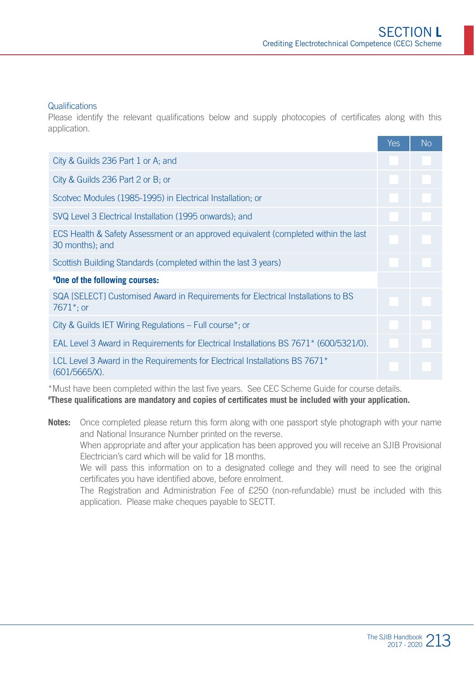#### **Qualifications**

Please identify the relevant qualifications below and supply photocopies of certificates along with this application.

|                                                                                                        | Yes | No |
|--------------------------------------------------------------------------------------------------------|-----|----|
| City & Guilds 236 Part 1 or A; and                                                                     |     |    |
| City & Guilds 236 Part 2 or B; or                                                                      |     |    |
| Scotvec Modules (1985-1995) in Electrical Installation, or                                             |     |    |
| SVQ Level 3 Electrical Installation (1995 onwards); and                                                |     |    |
| ECS Health & Safety Assessment or an approved equivalent (completed within the last<br>30 months); and |     |    |
| Scottish Building Standards (completed within the last 3 years)                                        |     |    |
| #One of the following courses:                                                                         |     |    |
| SQA [SELECT] Customised Award in Requirements for Electrical Installations to BS<br>$7671$ *; or       |     |    |
| City & Guilds IET Wiring Regulations – Full course <sup>*</sup> ; or                                   |     |    |
| EAL Level 3 Award in Requirements for Electrical Installations BS 7671* (600/5321/0).                  |     |    |
| LCL Level 3 Award in the Requirements for Electrical Installations BS $7671*$<br>$(601/5665/X)$ .      |     |    |

\*Must have been completed within the last five years. See CEC Scheme Guide for course details. **# These qualifications are mandatory and copies of certificates must be included with your application.**

**Notes:** Once completed please return this form along with one passport style photograph with your name and National Insurance Number printed on the reverse. When appropriate and after your application has been approved you will receive an SJIB Provisional Electrician's card which will be valid for 18 months. We will pass this information on to a designated college and they will need to see the original certificates you have identified above, before enrolment. The Registration and Administration Fee of £250 (non-refundable) must be included with this application. Please make cheques payable to SECTT.